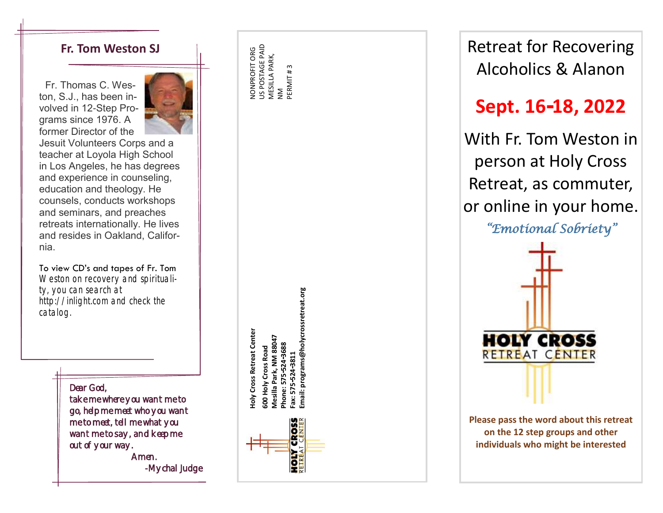### **Fr. Tom Weston SJ**

Fr. Thomas C. Weston, S.J., has been involved in 12-Step Programs since 1976. A former Director of the



Jesuit Volunteers Corps and a teacher at Loyola High School in Los Angeles, he has degrees and experience in counseling, education and theology. He counsels, conducts workshops and seminars, and preaches retreats internationally. He lives and resides in Oakland, California.

To view CD's and tapes of Fr. Tom Weston on recovery and spirituality, you can search at http://inlight.com and check the catalog.

From Sales Contains and check the log.<br>
International check the log Dear God,<br>
Dear God,<br>
Dear God,<br>
Dear God,<br>
Dear God,<br>
There where you want me to to meet who you want<br>
go, help me meet who you want<br>
me to meet, tell me

NONPROFIT ORG US POSTAGE PAID MESILLA PARK, NM PERMIT # 3

> **Holy Cross Retreat Center 600 Holy Cross Road Mesilla Park, NM 88047 Phone: 575-524-3688 Fax: 575-524-3811**



Retreat for Recovering Alcoholics & Alanon

# **Sept. 16 -18, 2022**

With Fr. Tom Weston in person at Holy Cross Retreat, as commuter, or online in your home.



**Please pass the word about this retreat on the 12 step groups and other individuals who might be interested**